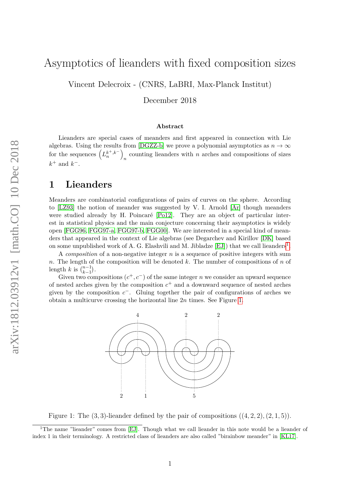## Asymptotics of lieanders with fixed composition sizes

Vincent Delecroix - (CNRS, LaBRI, Max-Planck Institut)

December 2018

#### **Abstract**

Lieanders are special cases of meanders and first appeared in connection with Lie algebras. Using the results from [\[DGZZ-b\]](#page-7-0) we prove a polynomial asymptotics as  $n \to \infty$ for the sequences  $\left(L_n^{k^+,k^-}\right)$  $n$  counting lieanders with  $n$  arches and compositions of sizes  $k^+$  and  $k^-$ .

#### **1 Lieanders**

Meanders are combinatorial configurations of pairs of curves on the sphere. According to [\[LZ93\]](#page-7-1) the notion of meander was suggested by V. I. Arnold [\[Ar\]](#page-7-2) though meanders were studied already by H. Poincaré [\[Po12\]](#page-7-3). They are an object of particular interest in statistical physics and the main conjecture concerning their asymptotics is widely open [\[FGG96,](#page-7-4) [FGG97-a,](#page-7-5) [FGG97-b,](#page-7-6) [FGG00\]](#page-7-7). We are interested in a special kind of meanders that appeared in the context of Lie algebras (see Degarchev and Kirillov [\[DK\]](#page-7-8) based on some unpublished work of A. G. Elashvili and M. Jibladze  $[EJ]$ ) that we call lieanders<sup>[1](#page-0-0)</sup>.

A *composition* of a non-negative integer *n* is a sequence of positive integers with sum *n*. The length of the composition will be denoted *k*. The number of compositions of *n* of length *k* is  $\binom{n-1}{k-1}$ .

<span id="page-0-1"></span>Given two compositions  $(c^+, c^-)$  of the same integer *n* we consider an upward sequence of nested arches given by the composition *c* <sup>+</sup> and a downward sequence of nested arches given by the composition  $c^-$ . Gluing together the pair of configurations of arches we obtain a multicurve crossing the horizontal line 2*n* times. See Figure [1.](#page-0-1)



Figure 1: The  $(3, 3)$ -lieander defined by the pair of compositions  $((4, 2, 2), (2, 1, 5))$ .

<span id="page-0-0"></span><sup>&</sup>lt;sup>1</sup>The name "lieander" comes from [\[EJ\]](#page-7-9). Though what we call lieander in this note would be a lieander of index 1 in their terminology. A restricted class of lieanders are also called "birainbow meander" in [\[KL17\]](#page-7-10).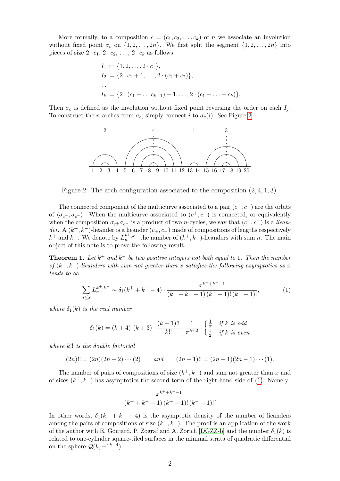More formally, to a composition  $c = (c_1, c_2, \ldots, c_k)$  of *n* we associate an involution without fixed point  $\sigma_c$  on  $\{1, 2, \ldots, 2n\}$ . We first split the segment  $\{1, 2, \ldots, 2n\}$  into pieces of size  $2 \cdot c_1$ ,  $2 \cdot c_2$ , ...,  $2 \cdot c_k$  as follows

$$
I_1 := \{1, 2, \dots, 2 \cdot c_1\},
$$
  
\n
$$
I_2 := \{2 \cdot c_1 + 1, \dots, 2 \cdot (c_1 + c_2)\},
$$
  
\n...  
\n
$$
I_k := \{2 \cdot (c_1 + \dots + c_{k-1}) + 1, \dots, 2 \cdot (c_1 + \dots + c_k)\}.
$$

<span id="page-1-0"></span>Then  $\sigma_c$  is defined as the involution without fixed point reversing the order on each  $I_j$ . To construct the *n* arches from  $\sigma_c$ , simply connect *i* to  $\sigma_c(i)$ . See Figure [2.](#page-1-0)



Figure 2: The arch configuration associated to the composition (2*,* 4*,* 1*,* 3).

The connected component of the multicurve associated to a pair  $(c^+, c^-)$  are the orbits of  $\langle \sigma_{c^+}, \sigma_{c^-} \rangle$ . When the multicurve associated to  $(c^+, c^-)$  is connected, or equivalently when the composition  $\sigma_{c}$ + $\sigma_{c}$ - is a product of two *n*-cycles, we say that  $(c^{+}, c^{-})$  is a *lieander.* A ( $k^+$ , $k^-$ )-lieander is a lieander ( $c_+$ , $c_-$ ) made of compositions of lengths respectively *k*<sup>+</sup> and *k*<sup>−</sup>. We denote by  $L_n^{k^+,k^-}$  the number of  $(k^+,k^-)$ -lieanders with sum *n*. The main object of this note is to prove the following result.

<span id="page-1-2"></span>**Theorem 1.** Let  $k^+$  and  $k^-$  be two positive integers not both equal to 1. Then the number *of*  $(k^+, k^-)$ -lieanders with sum not greater than *x* satisfies the following asymptotics as *x tends to* ∞

<span id="page-1-1"></span>
$$
\sum_{n\leq x} L_n^{k^+,k^-} \sim \delta_1(k^+ + k^- - 4) \cdot \frac{x^{k^+ + k^- - 1}}{(k^+ + k^- - 1)(k^+ - 1)!(k^- - 1)!},\tag{1}
$$

*where*  $\delta_1(k)$  *is the real number* 

$$
\delta_1(k) = (k+4) \ (k+3) \cdot \frac{(k+1)!!}{k!!} \cdot \frac{1}{\pi^{k+2}} \cdot \begin{cases} \frac{1}{\pi} & \text{if } k \text{ is odd} \\ \frac{1}{2} & \text{if } k \text{ is even} \end{cases}
$$

*where k*!! *is the double factorial*

 $(2n)!! = (2n)(2n-2)\cdots(2)$  *and*  $(2n+1)!! = (2n+1)(2n-1)\cdots(1)$ .

The number of pairs of compositions of size  $(k^+, k^-)$  and sum not greater than *x* and of sizes (*k* <sup>+</sup>*, k*−) has asymptotics the second term of the right-hand side of [\(1\)](#page-1-1). Namely

$$
\frac{x^{k^++k^--1}}{(k^++k^--1)\,(k^+-1)!\,(k^--1)!}.
$$

In other words,  $\delta_1(k^+ + k^- - 4)$  is the asymptotic density of the number of lieanders among the pairs of compositions of size  $(k^+, k^-)$ . The proof is an application of the work of the author with E. Goujard, P. Zograf and A. Zorich [\[DGZZ-b\]](#page-7-0) and the number  $\delta_1(k)$  is related to one-cylinder square-tiled surfaces in the minimal strata of quadratic differential on the sphere  $\mathcal{Q}(k, -1^{k+4})$ .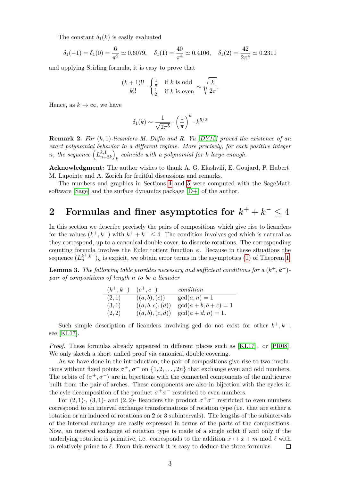The constant  $\delta_1(k)$  is easily evaluated

$$
\delta_1(-1) = \delta_1(0) = \frac{6}{\pi^2} \simeq 0.6079
$$
,  $\delta_1(1) = \frac{40}{\pi^4} \simeq 0.4106$ ,  $\delta_1(2) = \frac{42}{2\pi^4} \simeq 0.2310$ 

and applying Stirling formula, it is easy to prove that

$$
\frac{(k+1)!!}{k!!} \cdot \begin{cases} \frac{1}{\pi} & \text{if } k \text{ is odd} \\ \frac{1}{2} & \text{if } k \text{ is even} \end{cases} \sim \sqrt{\frac{k}{2\pi}}.
$$

Hence, as  $k \to \infty$ , we have

$$
\delta_1(k) \sim \frac{1}{\sqrt{2\pi^5}} \cdot \left(\frac{1}{\pi}\right)^k \cdot k^{5/2}
$$

**Remark 2.** *For* (*k,* 1)*-lieanders M. Duflo and R. Yu [\[DY15\]](#page-7-11) proved the existence of an exact polynomial behavior in a different regime. More precisely, for each positive integer n*, the sequence  $\left( L_{n+1}^{k,1} \right)$  $\binom{k,1}{n+2k}$ *k coincide with a polynomial for k large enough.*

**Acknowledgment:** The author wishes to thank A. G. Elashvili, E. Goujard, P. Hubert, M. Lapointe and A. Zorich for fruitful discussions and remarks.

The numbers and graphics in Sections [4](#page-5-0) and [5](#page-6-0) were computed with the SageMath software [\[Sage\]](#page-7-12) and the surface dynamics package [\[D+\]](#page-7-13) of the author.

# $2$  Formulas and finer asymptotics for  $k^+ + k^- \leq 4$

In this section we describe precisely the pairs of compositions which give rise to lieanders for the values  $(k^+, k^-)$  with  $k^+ + k^- \leq 4$ . The condition involves gcd which is natural as they correspond, up to a canonical double cover, to discrete rotations. The corresponding counting formula involves the Euler totient function *φ*. Because in these situations the sequence  $(L_n^{k^+,k^-})_n$  is expicit, we obtain error terms in the asymptotics [\(1\)](#page-1-1) of Theorem [1.](#page-1-2)

**Lemma 3.** *The following table provides necessary and sufficient conditions for a*  $(k^{+},k^{-})$ *pair of compositions of length n to be a lieander*

| $(k^+, k^-)$ | $(c^+, c^-)$     | condition               |
|--------------|------------------|-------------------------|
| (2,1)        | ((a, b), (c))    | $gcd(a, n) = 1$         |
| (3,1)        | ((a, b, c), (d)) | $gcd(a + b, b + c) = 1$ |
| (2,2)        | ((a, b), (c, d)) | $gcd(a+d, n) = 1.$      |

Such simple description of lieanders involving gcd do not exist for other  $k^+, k^-,$ see [\[KL17\]](#page-7-10).

*Proof.* These formulas already appeared in different places such as [\[KL17\]](#page-7-10). or [\[PR08\]](#page-7-14). We only sketch a short unfied proof via canonical double covering.

As we have done in the introduction, the pair of compositions give rise to two involutions without fixed points  $\sigma^+$ ,  $\sigma^-$  on  $\{1, 2, ..., 2n\}$  that exchange even and odd numbers. The orbits of  $\langle \sigma^+, \sigma^- \rangle$  are in bijections with the connected components of the multicurve built from the pair of arches. These components are also in bijection with the cycles in the cyle decomposition of the product  $\sigma^+\sigma^-$  restricted to even numbers.

For  $(2, 1)$ -,  $(3, 1)$ - and  $(2, 2)$ - lieanders the product  $\sigma^+ \sigma^-$  restricted to even numbers correspond to an interval exchange transformations of rotation type (i.e. that are either a rotation or an induced of rotations on 2 or 3 subintervals). The lengths of the subintervals of the interval exchange are easily expressed in terms of the parts of the compositions. Now, an interval exchange of rotation type is made of a single orbit if and only if the underlying rotation is primitive, i.e. corresponds to the addition  $x \mapsto x + m \mod l$  with *m* relatively prime to  $\ell$ . From this remark it is easy to deduce the three formulas.  $\Box$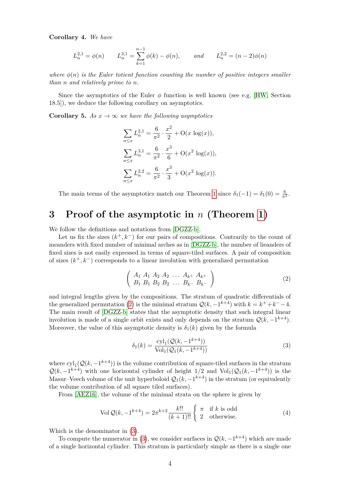**Corollary 4.** *We have*

$$
L_n^{2,1} = \phi(n) \qquad L_n^{3,1} = \sum_{k=1}^{n-1} \phi(k) - \phi(n), \qquad and \qquad L_n^{2,2} = (n-2)\phi(n)
$$

*where*  $\phi(n)$  *is the Euler totient function counting the number of positive integers smaller than n and relatively prime to n.*

Since the asymptotics of the Euler  $\phi$  function is well known (see e.g. [\[HW,](#page-7-15) Section 18.5]), we deduce the following corollary on asymptotics.

<span id="page-3-3"></span>**Corollary 5.** As  $x \to \infty$  we have the following asymptotics

$$
\sum_{n \le x} L_n^{2,1} = \frac{6}{\pi^2} \cdot \frac{x^2}{2} + O(x \log(x)),
$$
  

$$
\sum_{n \le x} L_n^{3,1} = \frac{6}{\pi^2} \cdot \frac{x^3}{6} + O(x^2 \log(x)),
$$
  

$$
\sum_{n \le x} L_n^{2,2} = \frac{6}{\pi^2} \cdot \frac{x^3}{3} + O(x^2 \log(x)).
$$

The main terms of the asymptotics match our Theorem [1](#page-1-2) since  $\delta_1(-1) = \delta_1(0) = \frac{6}{\pi^2}$ .

### **3 Proof of the asymptotic in** *n* **(Theorem [1\)](#page-1-2)**

We follow the definitions and notations from [\[DGZZ-b\]](#page-7-0).

Let us fix the sizes  $(k^+, k^-)$  for our pairs of compositions. Contrarily to the count of meanders with fixed number of minimal arches as in [\[DGZZ-b\]](#page-7-0), the number of lieanders of fixed sizes is not easily expressed in terms of square-tiled surfaces. A pair of composition of sizes (*k* <sup>+</sup>*, k*−) corresponds to a linear involution with generalized permutation

<span id="page-3-0"></span>
$$
\left(\begin{array}{cccc}\nA_1 & A_1 & A_2 & A_2 & \dots & A_{k+} & A_{k+} \\
B_1 & B_1 & B_2 & B_2 & \dots & B_{k-} & B_{k-}\n\end{array}\right)
$$
\n(2)

and integral lengths given by the compositions. The stratum of quadratic differentials of the generalized permutation [\(2\)](#page-3-0) is the minimal stratum  $\mathcal{Q}(k, -1^{k+4})$  with  $k = k^+ + k^- - 4$ . The main result of [\[DGZZ-b\]](#page-7-0) states that the asymptotic density that such integral linear involution is made of a single orbit exists and only depends on the stratum  $\mathcal{Q}(k, -1^{k+4})$ . Moreover, the value of this asymptotic density is  $\delta_1(k)$  given by the formula

<span id="page-3-1"></span>
$$
\delta_1(k) = \frac{\text{cyl}_1(\mathcal{Q}(k, -1^{k+4}))}{\text{Vol}_1(\mathcal{Q}_1(k, -1^{k+4}))}
$$
(3)

where  $\text{cyl}_1(\mathcal{Q}(k, -1^{k+4}))$  is the volume contribution of square-tiled surfaces in the stratum  $\mathcal{Q}(k, -1^{k+4})$  with one horizontal cylinder of height 1/2 and Vol<sub>1</sub>( $\mathcal{Q}_1(k, -1^{k+4})$ ) is the Masur–Veech volume of the unit hyperboloid  $\mathcal{Q}_1(k,-1^{k+4})$  in the stratum (or equivalently the volume contribution of all square tiled surfaces).

From [\[AEZ16\]](#page-7-16), the volume of the minimal strata on the sphere is given by

<span id="page-3-2"></span>
$$
\text{Vol}\,\mathcal{Q}(k, -1^{k+4}) = 2\pi^{k+2} \frac{k!!}{(k+1)!!} \begin{cases} \pi & \text{if } k \text{ is odd} \\ 2 & \text{otherwise.} \end{cases} \tag{4}
$$

Which is the denominator in [\(3\)](#page-3-1).

To compute the numerator in [\(3\)](#page-3-1), we consider surfaces in  $\mathcal{Q}(k, -1^{k+4})$  which are made of a single horizontal cylinder. This stratum is particularly simple as there is a single one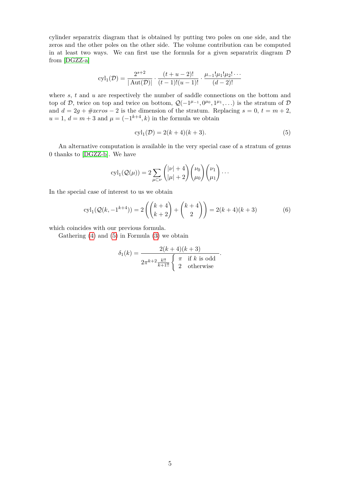cylinder separatrix diagram that is obtained by putting two poles on one side, and the zeros and the other poles on the other side. The volume contribution can be computed in at least two ways. We can first use the formula for a given separatrix diagram  $D$ from [\[DGZZ-a\]](#page-7-17)

$$
\text{cyl}_1(\mathcal{D}) = \frac{2^{s+2}}{|\text{Aut}(\mathcal{D})|} \cdot \frac{(t+u-2)!}{(t-1)!(u-1)!} \cdot \frac{\mu_{-1}!\mu_1!\mu_2!\cdots}{(d-2)!}
$$

where *s*, *t* and *u* are respectively the number of saddle connections on the bottom and top of D, twice on top and twice on bottom,  $\mathcal{Q}(-1^{\mu-1}, 0^{\mu_0}, 1^{\mu_1}, \ldots)$  is the stratum of D and  $d = 2g + \text{\#zeros} - 2$  is the dimension of the stratum. Replacing  $s = 0, t = m + 2$ ,  $u = 1, d = m + 3$  and  $\mu = (-1^{k+4}, k)$  in the formula we obtain

<span id="page-4-0"></span>
$$
cyl_1(\mathcal{D}) = 2(k+4)(k+3).
$$
 (5)

*.*

An alternative computation is available in the very special case of a stratum of genus 0 thanks to [\[DGZZ-b\]](#page-7-0). We have

$$
\operatorname{cyl}_1(\mathcal{Q}(\mu)) = 2 \sum_{\mu \subset \nu} {\binom{|\nu| + 4}{|\mu| + 2}} {\binom{\nu_0}{\mu_0}} {\binom{\nu_1}{\mu_1}} \cdots
$$

In the special case of interest to us we obtain

$$
\text{cyl}_1(\mathcal{Q}(k, -1^{k+4})) = 2\left( \binom{k+4}{k+2} + \binom{k+4}{2} \right) = 2(k+4)(k+3) \tag{6}
$$

which coincides with our previous formula.

Gathering [\(4\)](#page-3-2) and [\(5\)](#page-4-0) in Formula [\(3\)](#page-3-1) we obtain

$$
\delta_1(k) = \frac{2(k+4)(k+3)}{2\pi^{k+2} \frac{k!!}{k+1!!} \begin{cases} \pi & \text{if } k \text{ is odd} \\ 2 & \text{otherwise} \end{cases}
$$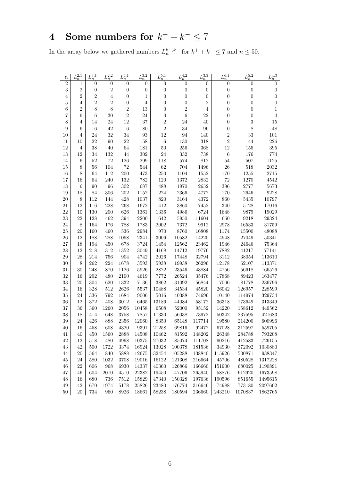# <span id="page-5-0"></span>**4** Some numbers for  $k^+ + k^- \leq 7$

In the array below we gathered numbers  $L_n^{k^+,k^-}$  for  $k^+ + k^- \leq 7$  and  $n \leq 50$ .

| n              | $L_n^{2,1}$    | $L_n^{3,1}$      | $L_n^{2,2}$      | $L_n^{4,1}$      | ${\cal L}_n^{3,2}$  | $L_n^{5,1}$          | ${\cal L}_n^{4,2}$ | ${\cal L}_n^{3,3}$ | $L_n^{6,1}$      | ${\cal L}_n^{5,2}$      | $L_n^{4,3}$      |  |
|----------------|----------------|------------------|------------------|------------------|---------------------|----------------------|--------------------|--------------------|------------------|-------------------------|------------------|--|
| $\overline{2}$ | 1              | $\boldsymbol{0}$ | $\boldsymbol{0}$ | $\boldsymbol{0}$ | 0                   | $\boldsymbol{0}$     | $\boldsymbol{0}$   | $\overline{0}$     | $\boldsymbol{0}$ | $\overline{0}$          | $\overline{0}$   |  |
| 3              | $\,2$          | $\boldsymbol{0}$ | $\sqrt{2}$       | $\boldsymbol{0}$ | $\boldsymbol{0}$    | $\boldsymbol{0}$     | $\boldsymbol{0}$   | $\boldsymbol{0}$   | $\boldsymbol{0}$ | $\boldsymbol{0}$        | $\boldsymbol{0}$ |  |
| $\overline{4}$ | $\sqrt{2}$     | $\sqrt{2}$       | $\overline{4}$   | $\boldsymbol{0}$ | $\mathbf{1}$        | $\boldsymbol{0}$     | $\boldsymbol{0}$   | $\boldsymbol{0}$   | $\boldsymbol{0}$ | $\boldsymbol{0}$        | $\boldsymbol{0}$ |  |
| $\overline{5}$ | 4              | $\sqrt{2}$       | 12               | $\boldsymbol{0}$ | $\,4\,$             | $\boldsymbol{0}$     | $\boldsymbol{0}$   | $\overline{2}$     | $\boldsymbol{0}$ | $\boldsymbol{0}$        | $\overline{0}$   |  |
| 6              | $\overline{2}$ | 8                | 8                | $\sqrt{2}$       | $13\,$              | $\boldsymbol{0}$     | $\overline{2}$     | $\overline{4}$     | $\boldsymbol{0}$ | $\boldsymbol{0}$        | $\mathbf{1}$     |  |
| 7              | 6              | 6                | $30\,$           | $\sqrt{2}$       | 24                  | $\boldsymbol{0}$     | $\boldsymbol{6}$   | 22                 | $\boldsymbol{0}$ | $\boldsymbol{0}$        | $\overline{4}$   |  |
| 8              | 4              | 14               | 24               | $12\,$           | 37                  | $\sqrt{2}$           | 24                 | 40                 | $\boldsymbol{0}$ | $\overline{\mathbf{3}}$ | 15               |  |
| 9              | 6              | 16               | 42               | $\,6\,$          | 80                  | $\sqrt{2}$           | 34                 | $96\,$             | $\boldsymbol{0}$ | 8                       | 48               |  |
| 10             | 4              | 24               | 32               | 34               | $\boldsymbol{93}$   | $12\,$               | 94                 | 140                | $\overline{2}$   | $33\,$                  | 101              |  |
| 11             | 10             | 22               | $90\,$           | $22\,$           | $158\,$             | $\,6\,$              | 130                | $318\,$            | $\overline{2}$   | $44\,$                  | 226              |  |
| 12             | 4              | 38               | 40               | 64               | 181                 | $50\,$               | 256                | 368                | 12               | 155                     | 395              |  |
| 13             | 12             | 34               | 132              | 44               | $302\,$             | $24\,$               | 332                | 738                | $\,6\,$          | 176                     | 774              |  |
| 14             | 6              | $52\,$           | $72\,$           | 126              | $\,299$             | 118                  | 574                | 812                | 54               | 507                     | 1125             |  |
| 15             | 8              | 56               | 104              | $72\,$           | 544                 | $62\,$               | 704                | 1496               | 26               | 518                     | 2032             |  |
| 16             | 8              | 64               | 112              | 200              | 473                 | $250\,$              | 1104               | 1552               | 170              | 1255                    | 2715             |  |
| 17             | 16             | 64               | 240              | 132              | $782\,$             | 120                  | 1372               | $\bf 2832$         | $72\,$           | 1270                    | 4542             |  |
| 18             | 6              | $90\,$           | 96               | 302              | 687                 | 488                  | 1970               | $2652\,$           | 396              | $2777\,$                | 5673             |  |
| 19             | 18             | 84               | $306\,$          | $202\,$          | 1152                | $224\,$              | 2366               | 4772               | $170\,$          | 2646                    | 9228             |  |
| 20             | 8              | 112              | 144              | 428              | 1037                | 820                  | 3164               | 4372               | 860              | $5435\,$                | 10797            |  |
| 21             | 12             | 116              | 228              | 268              | 1672                | $412\,$              | 3860               | 7452               | 340              | 5128                    | 17016            |  |
| 22             | 10             | 130              | 200              | 626              | 1361                | 1336                 | 4986               | 6724               | 1648             | 9879                    | 19029            |  |
| 23             | 22             | 128              | 462              | 394              | 2200                | 642                  | 5950               | 11604              | 660              | $9218\,$                | 29324            |  |
| 24             | 8              | 164              | 176              | 788              | 1783                | $\,2002\,$           | 7372               | 9912               | 2978             | 16533                   | 31759            |  |
| 25             | $20\,$         | 160              | 460              | 536              | $\boldsymbol{2984}$ | 970                  | 8760               | 16808              | 1174             | $15500\,$               | 48088            |  |
| 26<br>27       | 12             | 188              | 288              | 1098<br>678      | 2341                | $3006\,$             | 10582              | 14220              | 4948             | 27049                   | 50341            |  |
| 28             | 18<br>12       | 194<br>218       | 450<br>312       | 1352             | 3724<br>3049        | 1454<br>4168         | 12562<br>14712     | 23462<br>19776     | 1946<br>7882     | 24646<br>41217          | 75364<br>77141   |  |
| 29             | 28             | 214              | 756              | 904              | 4742                | 2026                 | 17448              | 32794              | 3112             | 38054                   | 113610           |  |
| 30             | 8              | 262              | 224              | 1678             | 3593                | 5938                 | 19938              | 26296              | 12178            | 62107                   | 113371           |  |
| 31             | 30             | 248              | 870              | 1126             | 5926                | 2822                 | 23546              | 43884              | 4756             | 56618                   | 166526           |  |
| 32             | 16             | 292              | 480              | 2100             | 4619                | 7772                 | 26524              | 35476              | 17868            | 89423                   | 163477           |  |
| 33             | $20\,$         | 304              | 620              | 1332             | 7136                | 3862                 | 31092              | 56844              | 7006             | 81778                   | 236796           |  |
| 34             | 16             | $328\,$          | 512              | $2626\,$         | 5537                | 10488                | 34534              | 45820              | 26042            | 126957                  | 228599           |  |
| 35             | 24             | 336              | 792              | 1684             | $9006\,$            | $5016\,$             | 40388              | 74696              | 10140            | 114974                  | 329734           |  |
| 36             | 12             | $372\,$          | 408              | 3012             | 6465                | 13186                | 44084              | 58172              | 36318            | 173649                  | 313349           |  |
| 37             | 36             | 360              | 1260             | 2056             | $10458\,$           | 6508                 | $52000\,$          | $95152\,$          | 14220            | 158612                  | 449562           |  |
| 38             | 18             | 414              | 648              | 3758             | 7857                | 17330                | 56038              | 73972              | $50342\,$        | 237595                  | 421683           |  |
| 39             | 24             | 426              | 888              | 2356             | 12060               | 8350                 | 65148              | 117714             | 19580            | 214200                  | 600996           |  |
| $40\,$         | 16             | 458              | 608              | 4320             | 9391                | 21258                | 69816              | 92472              | 67028            | 312597                  | 559705           |  |
| 41             | 40             | $450\,$          | 1560             | 2888             | 14508               | 10462                | 81592              | 148202             | 26348            | 284788                  | 793208           |  |
| 42             | 12             | $518\,$          | 480              | 4998             | $10375\,$           | $\boldsymbol{27032}$ | 85074              | 111708             | 90216            | 412583                  | 726155           |  |
| 43             | $42\,$         | $500\,$          | 1722             | $3374\,$         | 16924               | $13028\,$            | 100378             | 181536             | 34930            | 372092                  | 1030880          |  |
| 44             | 20             | 564              | 840              | 5888             | 12675               | 32454                | 105288             | 138840             | 115926           | 530871                  | 938347           |  |
| 45             | $24\,$         | 580              | 1032             | 3708             | 19016               | 16122                | 121308             | 216664             | 45706            | 480528                  | 1317228          |  |
| 46             | 22             | 606              | 968              | 6930             | 14337               | 40360                | 126866             | 166660             | 151900           | 680025                  | 1190891          |  |
| 47             | 46             | 604              | 2070             | 4510             | $22382\,$           | 19450                | 147706             | 265940             | 58876            | 612920                  | 1673598          |  |
| 48             | 16             | 680              | 736              | 7512             | 15829               | 47340                | 150328             | 197636             | 190596           | 851655                  | 1495615          |  |
| 49             | $42\,$         | 670              | 1974             | 5178             | $25826\,$           | 23480                | 176774             | 316646             | 74988            | 773180                  | 2097602          |  |
| 50             | 20             | 734              | 960              | 8926             | 18661               | 58238                | 180594             | 236660             | 243210           | 1070837                 | 1862765          |  |
|                |                |                  |                  |                  |                     |                      |                    |                    |                  |                         |                  |  |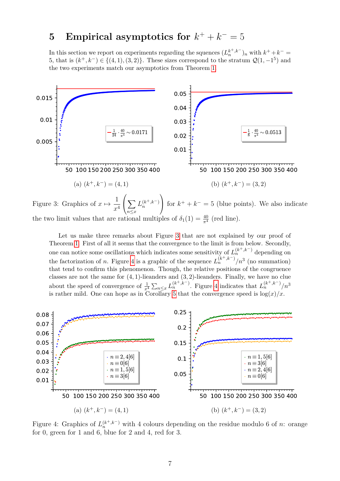# <span id="page-6-0"></span>**5** Empirical asymptotics for  $k^+ + k^- = 5$

In this section we report on experiments regarding the squences  $(L_n^{k^+,k^-})$ <sub>n</sub> with  $k^+ + k^-$ 5, that is  $(k^+, k^-) \in \{(4, 1), (3, 2)\}.$  These sizes correspond to the stratum  $\mathcal{Q}(1, -1^5)$  and the two experiments match our asymptotics from Theorem [1.](#page-1-2)

<span id="page-6-1"></span>

Figure 3: Graphics of  $x \mapsto \frac{1}{x}$ *x* 4  $\sum$ *n*≤*x*  $L_n^{(k^+,k^-)}$ for  $k^+ + k^- = 5$  (blue points). We also indicate the two limit values that are rational multiples of  $\delta_1(1) = \frac{40}{\pi^4}$  (red line).

Let us make three remarks about Figure [3](#page-6-1) that are not explained by our proof of Theorem [1.](#page-1-2) First of all it seems that the convergence to the limit is from below. Secondly, one can notice some oscillations which indicates some sensitivity of  $L_n^{(k^+,k^-)}$  depending on the factorization of *n*. Figure [4](#page-6-2) is a graphic of the sequence  $L_n^{(k^+,k^-)}/n^3$  (no summation) that tend to confirm this phenomenon. Though, the relative positions of the congruence classes are not the same for (4*,* 1)-lieanders and (3*,* 2)-lieanders. Finally, we have no clue about the speed of convergence of  $\frac{1}{x^4} \sum_{n \leq x} L_n^{(k^+,k^-)}$ . Figure [4](#page-6-2) indicates that  $L_n^{(k^+,k^-)}/n^3$ is rather mild. One can hope as in Corollary [5](#page-3-3) that the convergence speed is  $\log(x)/x$ .

<span id="page-6-2"></span>

Figure 4: Graphics of  $L_n^{(k^+,k^-)}$  with 4 colours depending on the residue modulo 6 of *n*: orange for 0, green for 1 and 6, blue for 2 and 4, red for 3.